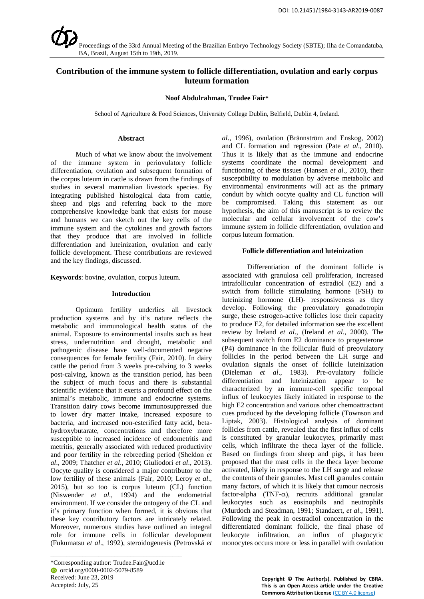

# **Contribution of the immune system to follicle differentiation, ovulation and early corpus luteum formation**

#### **Noof Abdulrahman, Trudee Fair\***

School of Agriculture & Food Sciences, University College Dublin, Belfield, Dublin 4, Ireland.

#### **Abstract**

Much of what we know about the involvement of the immune system in periovulatory follicle differentiation, ovulation and subsequent formation of the corpus luteum in cattle is drawn from the findings of studies in several mammalian livestock species. By integrating published histological data from cattle, sheep and pigs and referring back to the more comprehensive knowledge bank that exists for mouse and humans we can sketch out the key cells of the immune system and the cytokines and growth factors that they produce that are involved in follicle differentiation and luteinization, ovulation and early follicle development. These contributions are reviewed and the key findings, discussed.

**Keywords**: bovine, ovulation, corpus luteum.

#### **Introduction**

Optimum fertility underlies all livestock production systems and by it's nature reflects the metabolic and immunological health status of the animal. Exposure to environmental insults such as heat stress, undernutrition and drought, metabolic and pathogenic disease have well-documented negative consequences for female fertility (Fair, 2010). In dairy cattle the period from 3 weeks pre-calving to 3 weeks post-calving, known as the transition period, has been the subject of much focus and there is substantial scientific evidence that it exerts a profound effect on the animal's metabolic, immune and endocrine systems. Transition dairy cows become immunosuppressed due to lower dry matter intake, increased exposure to bacteria, and increased non-esterified fatty acid, betahydroxybutarate, concentrations and therefore more susceptible to increased incidence of endometritis and metritis, generally associated with reduced productivity and poor fertility in the rebreeding period (Sheldon *et al*., 2009; Thatcher *et al*., 2010; Giuliodori *et al*., 2013). Oocyte quality is considered a major contributor to the low fertility of these animals (Fair, 2010; Leroy *et al*., 2015), but so too is corpus luteum (CL) function (Niswender *et al*., 1994) and the endometrial environment. If we consider the ontogeny of the CL and it's primary function when formed, it is obvious that these key contributory factors are intricately related. Moreover, numerous studies have outlined an integral role for immune cells in follicular development (Fukumatsu *et al*., 1992), steroidogenesis (Petrovská *et*

\_\_\_\_\_\_\_\_\_\_\_\_\_\_\_\_\_\_\_\_\_\_\_\_\_\_\_\_\_\_\_\_\_\_\_\_\_\_\_\_\_

*al*., 1996), ovulation (Brännström and Enskog, 2002) and CL formation and regression (Pate *et al*., 2010). Thus it is likely that as the immune and endocrine systems coordinate the normal development and functioning of these tissues (Hansen *et al*., 2010), their susceptibility to modulation by adverse metabolic and environmental environments will act as the primary conduit by which oocyte quality and CL function will be compromised. Taking this statement as our hypothesis, the aim of this manuscript is to review the molecular and cellular involvement of the cow's immune system in follicle differentiation, ovulation and corpus luteum formation.

#### **Follicle differentiation and luteinization**

Differentiation of the dominant follicle is associated with granulosa cell proliferation, increased intrafollicular concentration of estradiol (E2) and a switch from follicle stimulating hormone (FSH) to luteinizing hormone (LH)- responsiveness as they develop. Following the preovulatory gonadotropin surge, these estrogen-active follicles lose their capacity to produce E2, for detailed information see the excellent review by Ireland *et al*., (Ireland *et al*., 2000). The subsequent switch from E2 dominance to progesterone (P4) dominance in the follicular fluid of preovulatory follicles in the period between the LH surge and ovulation signals the onset of follicle luteinization (Dieleman *et al*., 1983). Pre-ovulatory follicle differentiation and luteinization appear to be characterized by an immune-cell specific temporal influx of leukocytes likely initiated in response to the high E2 concentration and various other chemoattractant cues produced by the developing follicle (Townson and Liptak, 2003). Histological analysis of dominant follicles from cattle, revealed that the first influx of cells is constituted by granular leukocytes, primarily mast cells, which infiltrate the theca layer of the follicle. Based on findings from sheep and pigs, it has been proposed that the mast cells in the theca layer become activated, likely in response to the LH surge and release the contents of their granules. Mast cell granules contain many factors, of which it is likely that tumour necrosis factor-alpha (TNF- $\alpha$ ), recruits additional granular leukocytes such as eosinophils and neutrophils (Murdoch and Steadman, 1991; Standaert, *et al*., 1991). Following the peak in oestradiol concentration in the differentiated dominant follicle, the final phase of leukocyte infiltration, an influx of phagocytic monocytes occurs more or less in parallel with ovulation

> **Copyright © The Author(s). Published by CBRA. This is an Open Access article under the Creative Commons Attribution License (**[CC BY 4.0 license](https://creativecommons.org/licenses/by/4.0/)**)**

<sup>\*</sup>Corresponding author: Trudee.Fair@ucd.ie orcid.or[g/0000-0002-5079-8589](https://orcid.org/0000-0002-5079-8589) Received: June 23, 2019 Accepted: July, 25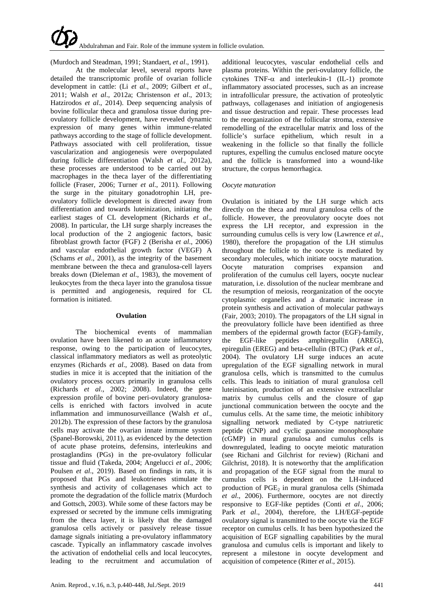(Murdoch and Steadman, 1991; Standaert, *et al*., 1991).

At the molecular level, several reports have detailed the transcriptomic profile of ovarian follicle development in cattle: (Li *et al*., 2009; Gilbert *et al*., 2011; Walsh *et al*., 2012a; Christenson *et al*., 2013; Hatzirodos *et al*., 2014). Deep sequencing analysis of bovine follicular theca and granulosa tissue during preovulatory follicle development, have revealed dynamic expression of many genes within immune-related pathways according to the stage of follicle development. Pathways associated with cell proliferation, tissue vascularization and angiogenesis were overpopulated during follicle differentiation (Walsh *et al*., 2012a), these processes are understood to be carried out by macrophages in the theca layer of the differentiating follicle (Fraser, 2006; Turner *et al*., 2011). Following the surge in the pituitary gonadotrophin LH, preovulatory follicle development is directed away from differentiation and towards luteinization, initiating the earliest stages of CL development (Richards *et al*., 2008). In particular, the LH surge sharply increases the local production of the 2 angiogenic factors, basic fibroblast growth factor (FGF) 2 (Berisha *et al*., 2006) and vascular endothelial growth factor (VEGF) A (Schams *et al*., 2001), as the integrity of the basement membrane between the theca and granulosa-cell layers breaks down (Dieleman *et al*., 1983), the movement of leukocytes from the theca layer into the granulosa tissue is permitted and angiogenesis, required for CL formation is initiated.

#### **Ovulation**

The biochemical events of mammalian ovulation have been likened to an acute inflammatory response, owing to the participation of leucocytes, classical inflammatory mediators as well as proteolytic enzymes (Richards *et al*., 2008). Based on data from studies in mice it is accepted that the initiation of the ovulatory process occurs primarily in granulosa cells (Richards *et al*., 2002; 2008). Indeed, the gene expression profile of bovine peri-ovulatory granulosacells is enriched with factors involved in acute inflammation and immunosurveillance (Walsh *et al*., 2012b). The expression of these factors by the granulosa cells may activate the ovarian innate immune system (Spanel-Borowski, 2011), as evidenced by the detection of acute phase proteins, defensins, interleukins and prostaglandins (PGs) in the pre-ovulatory follicular tissue and fluid (Takeda, 2004; Angelucci *et al*., 2006; Poulsen *et al*., 2019). Based on findings in rats, it is proposed that PGs and leukotrienes stimulate the synthesis and activity of collagenases which act to promote the degradation of the follicle matrix (Murdoch and Gottsch, 2003). While some of these factors may be expressed or secreted by the immune cells immigrating from the theca layer, it is likely that the damaged granulosa cells actively or passively release tissue damage signals initiating a pre-ovulatory inflammatory cascade. Typically an inflammatory cascade involves the activation of endothelial cells and local leucocytes, leading to the recruitment and accumulation of

additional leucocytes, vascular endothelial cells and plasma proteins. Within the peri-ovulatory follicle, the cytokines  $TNF-\alpha$  and interleukin-1 (IL-1) promote inflammatory associated processes, such as an increase in intrafollicular pressure, the activation of proteolytic pathways, collagenases and initiation of angiogenesis and tissue destruction and repair. These processes lead to the reorganization of the follicular stroma, extensive remodelling of the extracellular matrix and loss of the follicle's surface epithelium, which result in a weakening in the follicle so that finally the follicle ruptures, expelling the cumulus enclosed mature oocyte and the follicle is transformed into a wound-like structure, the corpus hemorrhagica.

# *Oocyte maturation*

Ovulation is initiated by the LH surge which acts directly on the theca and mural granulosa cells of the follicle. However, the preovulatory oocyte does not express the LH receptor, and expression in the surrounding cumulus cells is very low (Lawrence *et al*., 1980), therefore the propagation of the LH stimulus throughout the follicle to the oocyte is mediated by secondary molecules, which initiate oocyte maturation. Oocyte maturation comprises expansion and proliferation of the cumulus cell layers, oocyte nuclear maturation, i.e. dissolution of the nuclear membrane and the resumption of meiosis, reorganization of the oocyte cytoplasmic organelles and a dramatic increase in protein synthesis and activation of molecular pathways (Fair, 2003; 2010). The propagators of the LH signal in the preovulatory follicle have been identified as three members of the epidermal growth factor (EGF)-family, the EGF-like peptides amphiregullin (AREG), epiregulin (EREG) and beta-cellulin (BTC) (Park *et al*., 2004). The ovulatory LH surge induces an acute upregulation of the EGF signalling network in mural granulosa cells, which is transmitted to the cumulus cells. This leads to initiation of mural granulosa cell luteinisation, production of an extensive extracellular matrix by cumulus cells and the closure of gap junctional communication between the oocyte and the cumulus cells. At the same time, the meiotic inhibitory signalling network mediated by C-type natriuretic peptide (CNP) and cyclic guanosine monophosphate (cGMP) in mural granulosa and cumulus cells is downregulated, leading to oocyte meiotic maturation (see Richani and Gilchrist for review) (Richani and Gilchrist, 2018). It is noteworthy that the amplification and propagation of the EGF signal from the mural to cumulus cells is dependent on the LH-induced production of  $PGE<sub>2</sub>$  in mural granulosa cells (Shimada *et al*., 2006). Furthermore, oocytes are not directly responsive to EGF-like peptides (Conti *et al*., 2006; Park *et al*., 2004), therefore, the LH/EGF-peptide ovulatory signal is transmitted to the oocyte via the EGF receptor on cumulus cells. It has been hypothesized the acquisition of EGF signalling capabilities by the mural granulosa and cumulus cells is important and likely to represent a milestone in oocyte development and acquisition of competence (Ritter *et al*., 2015).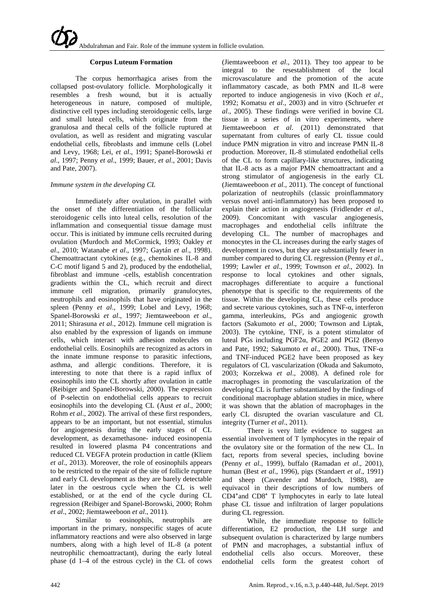# **Corpus Luteum Formation**

The corpus hemorrhagica arises from the collapsed post-ovulatory follicle. Morphologically it resembles a fresh wound, but it is actually heterogeneous in nature, composed of multiple, distinctive cell types including steroidogenic cells, large and small luteal cells, which originate from the granulosa and thecal cells of the follicle ruptured at ovulation, as well as resident and migrating vascular endothelial cells, fibroblasts and immune cells (Lobel and Levy, 1968; Lei, *et al*., 1991; Spanel-Borowski *et al*., 1997; Penny *et al*., 1999; Bauer, *et al*., 2001; Davis and Pate, 2007).

# *Immune system in the developing CL*

Immediately after ovulation, in parallel with the onset of the differentiation of the follicular steroidogenic cells into luteal cells, resolution of the inflammation and consequential tissue damage must occur. This is initiated by immune cells recruited during ovulation (Murdoch and McCormick, 1993; Oakley *et al*., 2010; Watanabe *et al*., 1997; Gaytán *et al*., 1998). Chemoattractant cytokines (e.g., chemokines IL-8 and C-C motif ligand 5 and 2), produced by the endothelial, fibroblast and immune -cells, establish concentration gradients within the CL, which recruit and direct immune cell migration, primarily granulocytes, neutrophils and eosinophils that have originated in the spleen (Penny *et al*., 1999; Lobel and Levy, 1968; Spanel-Borowski *et al*., 1997; Jiemtaweeboon *et al*., 2011; Shirasuna *et al*., 2012). Immune cell migration is also enabled by the expression of ligands on immune cells, which interact with adhesion molecules on endothelial cells. Eosinophils are recognized as actors in the innate immune response to parasitic infections, asthma, and allergic conditions. Therefore, it is interesting to note that there is a rapid influx of eosinophils into the CL shortly after ovulation in cattle (Reibiger and Spanel-Borowski, 2000). The expression of P-selectin on endothelial cells appears to recruit eosinophils into the developing CL (Aust *et al*., 2000; Rohm *et al*., 2002). The arrival of these first responders, appears to be an important, but not essential, stimulus for angiogenesis during the early stages of CL development, as dexamethasone- induced eosinopenia resulted in lowered plasma P4 concentrations and reduced CL VEGFA protein production in cattle (Kliem *et al*., 2013). Moreover, the role of eosinophils appears to be restricted to the repair of the site of follicle rupture and early CL development as they are barely detectable later in the oestrous cycle when the CL is well established, or at the end of the cycle during CL regression (Reibiger and Spanel-Borowski, 2000; Rohm *et al*., 2002; Jiemtaweeboon *et al*., 2011).

Similar to eosinophils, neutrophils are important in the primary, nonspecific stages of acute inflammatory reactions and were also observed in large numbers, along with a high level of IL-8 (a potent neutrophilic chemoattractant), during the early luteal phase (d 1–4 of the estrous cycle) in the CL of cows

(Jiemtaweeboon *et al*., 2011). They too appear to be integral to the resestablishment of the local microvasculature and the promotion of the acute inflammatory cascade, as both PMN and IL-8 were reported to induce angiogenesis in vivo (Koch *et al*., 1992; Komatsu *et al*., 2003) and in vitro (Schruefer *et al*., 2005). These findings were verified in bovine CL tissue in a series of in vitro experiments, where Jiemtaweeboon *et al*. (2011) demonstrated that supernatant from cultures of early CL tissue could induce PMN migration in vitro and increase PMN IL-8 production. Moreover, IL-8 stimulated endothelial cells of the CL to form capillary-like structures, indicating that IL-8 acts as a major PMN chemoattractant and a strong stimulator of angiogenesis in the early CL (Jiemtaweeboon *et al*., 2011). The concept of functional polarization of neutrophils (classic proinflammatory versus novel anti-inflammatory) has been proposed to explain their action in angiogenesis (Fridlender *et al*., 2009). Concomitant with vascular angiogenesis, macrophages and endothelial cells infiltrate the developing CL. The number of macrophages and monocytes in the CL increases during the early stages of development in cows, but they are substantially fewer in number compared to during CL regression (Penny *et al*., 1999; Lawler *et al*., 1999; Townson *et al*., 2002). In response to local cytokines and other signals, macrophages differentiate to acquire a functional phenotype that is specific to the requirements of the tissue. Within the developing CL, these cells produce and secrete various cytokines, such as TNF-α, interferon gamma, interleukins, PGs and angiogenic growth factors (Sakumoto *et al*., 2000; Townson and Liptak, 2003). The cytokine, TNF, is a potent stimulator of luteal PGs including PGF2α, PGE2 and PGI2 (Benyo and Pate, 1992; Sakumoto *et al*., 2000). Thus, TNF-α and TNF-induced PGE2 have been proposed as key regulators of CL vascularization (Okuda and Sakumoto, 2003; Korzekwa *et al*., 2008). A defined role for macrophages in promoting the vascularization of the developing CL is further substantiated by the findings of conditional macrophage ablation studies in mice, where it was shown that the ablation of macrophages in the early CL disrupted the ovarian vasculature and CL integrity (Turner *et al*., 2011).

There is very little evidence to suggest an essential involvement of T lymphocytes in the repair of the ovulatory site or the formation of the new CL. In fact, reports from several species, including bovine (Penny *et al*., 1999), buffalo (Ramadan *et al*., 2001), human (Best *et al*., 1996), pigs (Standaert *et al*., 1991) and sheep (Cavender and Murdoch, 1988), are equivacol in their descriptions of low numbers of  $CD4<sup>+</sup>$  and  $CD8<sup>+</sup>$  T lymphocytes in early to late luteal phase CL tissue and infiltration of larger populations during CL regression.

While, the immediate response to follicle differentiation, E2 production, the LH surge and subsequent ovulation is characterized by large numbers of PMN and macrophages, a substantial influx of endothelial cells also occurs. Moreover, these endothelial cells form the greatest cohort of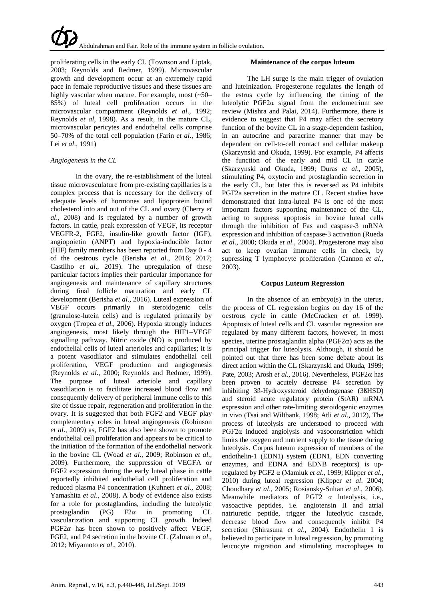proliferating cells in the early CL (Townson and Liptak, 2003; Reynolds and Redmer, 1999). Microvascular growth and development occur at an extremely rapid pace in female reproductive tissues and these tissues are highly vascular when mature. For example, most (~50– 85%) of luteal cell proliferation occurs in the microvascular compartment (Reynolds *et al*., 1992; Reynolds *et al*, 1998). As a result, in the mature CL, microvascular pericytes and endothelial cells comprise 50–70% of the total cell population (Farin *et al*., 1986; Lei *et al*., 1991)

# *Angiogenesis in the CL*

In the ovary, the re-establishment of the luteal tissue microvasculature from pre-existing capillaries is a complex process that is necessary for the delivery of adequate levels of hormones and lipoprotein bound cholesterol into and out of the CL and ovary (Cherry *et al*., 2008) and is regulated by a number of growth factors. In cattle, peak expression of VEGF, its receptor VEGFR-2, FGF2, insulin-like growth factor (IGF), angiopoietin (ANPT) and hypoxia-inducible factor (HIF) family members has been reported from Day 0 - 4 of the oestrous cycle (Berisha *et al*., 2016; 2017; Castilho *et al*., 2019). The upregulation of these particular factors implies their particular importance for angiogenesis and maintenance of capillary structures during final follicle maturation and early CL development (Berisha *et al*., 2016). Luteal expression of VEGF occurs primarily in steroidogenic cells (granulose-lutein cells) and is regulated primarily by oxygen (Tropea *et al*., 2006). Hypoxia strongly induces angiogenesis, most likely through the HIF1–VEGF signalling pathway. Nitric oxide (NO) is produced by endothelial cells of luteal arterioles and capillaries; it is a potent vasodilator and stimulates endothelial cell proliferation, VEGF production and angiogenesis (Reynolds *et al*., 2000; Reynolds and Redmer, 1999). The purpose of luteal arteriole and capillary vasodilation is to facilitate increased blood flow and consequently delivery of peripheral immune cells to this site of tissue repair, regeneration and proliferation in the ovary. It is suggested that both FGF2 and VEGF play complementary roles in luteal angiogenesis (Robinson *et al*., 2009) as, FGF2 has also been shown to promote endothelial cell proliferation and appears to be critical to the initiation of the formation of the endothelial network in the bovine CL (Woad *et al*., 2009; Robinson *et al*., 2009). Furthermore, the suppression of VEGFA or FGF2 expression during the early luteal phase in cattle reportedly inhibited endothelial cell proliferation and reduced plasma P4 concentration (Kuhnert *et al*., 2008; Yamashita *et al*., 2008). A body of evidence also exists for a role for prostaglandins, including the luteolytic prostaglandin (PG)  $F2\alpha$  in promoting CL vascularization and supporting CL growth. Indeed  $PGF2\alpha$  has been shown to positively affect VEGF, FGF2, and P4 secretion in the bovine CL (Zalman *et al*., 2012; Miyamoto *et al*., 2010).

# **Maintenance of the corpus luteum**

The LH surge is the main trigger of ovulation and luteinization. Progesterone regulates the length of the estrus cycle by influencing the timing of the luteolytic PGF2 $\alpha$  signal from the endometrium see review (Mishra and Palai, 2014). Furthermore, there is evidence to suggest that P4 may affect the secretory function of the bovine CL in a stage-dependent fashion, in an autocrine and paracrine manner that may be dependent on cell-to-cell contact and cellular makeup (Skarzynski and Okuda, 1999). For example, P4 affects the function of the early and mid CL in cattle (Skarzynski and Okuda, 1999; Duras *et al*., 2005), stimulating P4, oxytocin and prostaglandin secretion in the early CL, but later this is reversed as P4 inhibits PGF2a secretion in the mature CL. Recent studies have demonstrated that intra-luteal P4 is one of the most important factors supporting maintenance of the CL, acting to suppress apoptosis in bovine luteal cells through the inhibition of Fas and caspase-3 mRNA expression and inhibition of caspase-3 activation (Rueda *et al*., 2000; Okuda *et al*., 2004). Progesterone may also act to keep ovarian immune cells in check, by supressing T lymphocyte proliferation (Cannon *et al*., 2003).

# **Corpus Luteum Regression**

In the absence of an embryo(s) in the uterus, the process of CL regression begins on day 16 of the oestrous cycle in cattle (McCracken *et al*. 1999). Apoptosis of luteal cells and CL vascular regression are regulated by many different factors, however, in most species, uterine prostaglandin alpha ( $PGF2\alpha$ ) acts as the principal trigger for luteolysis. Although, it should be pointed out that there has been some debate about its direct action within the CL (Skarzynski and Okuda, 1999; Pate, 2003; Arosh *et al*., 2016). Nevertheless, PGF2α has been proven to acutely decrease P4 secretion by inhibiting 3ß-Hydroxysteroid dehydrogenase (3ßHSD) and steroid acute regulatory protein (StAR) mRNA expression and other rate-limiting steroidogenic enzymes in vivo (Tsai and Wiltbank, 1998; Atli *et al*., 2012), The process of luteolysis are understood to proceed with PGF2α induced angiolysis and vasoconstriction which limits the oxygen and nutrient supply to the tissue during luteolysis. Corpus luteum expression of members of the endothelin-1 (EDN1) system (EDN1, EDN converting enzymes, and EDNA and EDNB receptors) is upregulated by PGF2 α (Mamluk *et al*., 1999; Klipper *et al*., 2010) during luteal regression (Klipper *et al*. 2004; Choudhary *et al*., 2005; Rosiansky-Sultan *et al*., 2006). Meanwhile mediators of PGF2 α luteolysis, i.e., vasoactive peptides, i.e. angiotensin II and atrial natriuretic peptide, trigger the luteolytic cascade, decrease blood flow and consequently inhibit P4 secretion (Shirasuna *et al*., 2004). Endothelin 1 is believed to participate in luteal regression, by promoting leucocyte migration and stimulating macrophages to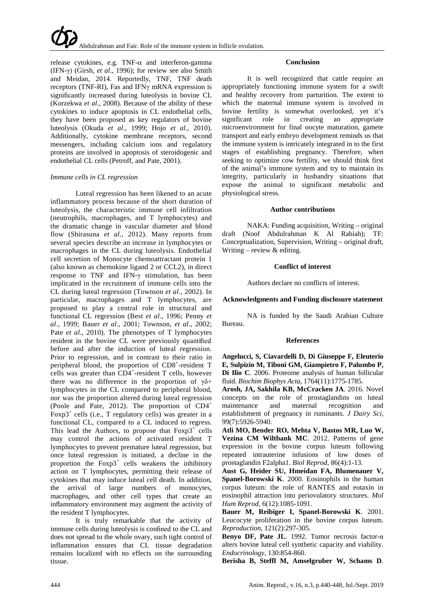

release cytokines, e.g. TNF- $\alpha$  and interferon-gamma (IFN-γ) (Girsh, *et al*., 1996); for review see also Smith and Meidan, 2014. Reportedly, TNF, TNF death receptors (TNF-RI), Fas and IFNγ mRNA expression is significantly increased during luteolysis in bovine CL (Korzekwa *et al*., 2008). Because of the ability of these cytokines to induce apoptosis in CL endothelial cells, they have been proposed as key regulators of bovine luteolysis (Okuda *et al*., 1999; Hojo *et al*., 2010). Additionally, cytokine membrane receptors, second messengers, including calcium ions and regulatory proteins are involved in apoptosis of steroidogenic and endothelial CL cells (Petroff, and Pate, 2001).

# *Immune cells in CL regression*

Luteal regression has been likened to an acute inflammatory process because of the short duration of luteolysis, the characteristic immune cell infiltration (neutrophils, macrophages, and T lymphocytes) and the dramatic change in vascular diameter and blood flow (Shirasuna *et al*., 2012). Many reports from several species describe an increase in lymphocytes or macrophages in the CL during luteolysis. Endothelial cell secretion of Monocyte chemoattractant protein 1 (also known as chemokine ligand 2 or CCL2), in direct response to TNF and IFN-γ stimulation, has been implicated in the recruitment of immune cells into the CL during luteal regression (Townson *et al*., 2002). In particular, macrophages and T lymphocytes, are proposed to play a central role in structural and functional CL regression (Best *et al*., 1996; Penny *et al*., 1999; Bauer *et al*., 2001; Townson, *et al*., 2002; Pate *et al*., 2010). The phenotypes of T lymphocytes resident in the bovine CL were previously quantified before and after the induction of luteal regression. Prior to regression, and in contrast to their ratio in peripheral blood, the proportion of CD8<sup>+</sup>-resident T cells was greater than CD4<sup>+</sup>-resident T cells, however there was no difference in the proportion of  $\gamma\delta^+$ lymphocytes in the CL compared to peripheral blood, nor was the proportion altered during luteal regression (Poole and Pate, 2012). The proportion of CD4<sup>+</sup> Foxp3<sup>+</sup> cells (i.e., T regulatory cells) was greater in a functional CL, compared to a CL induced to regress. This lead the Authors, to propose that  $F\alpha p3^+$  cells may control the actions of activated resident T lymphocytes to prevent premature luteal regression, but once luteal regression is initiated, a decline in the proportion the  $F\alpha p3^+$  cells weakens the inhibitory action on T lymphocytes, permitting their release of cytokines that may induce luteal cell death. In addition, the arrival of large numbers of monocytes, macrophages, and other cell types that create an inflammatory environment may augment the activity of the resident T lymphocytes.

It is truly remarkable that the activity of immune cells during luteolysis is confined to the CL and does not spread to the whole ovary, such tight control of inflammation ensures that CL tissue degradation remains localized with no effects on the surrounding tissue.

# **Conclusion**

It is well recognized that cattle require an appropriately functioning immune system for a swift and healthy recovery from parturition. The extent to which the maternal immune system is involved in bovine fertility is somewhat overlooked, yet it's significant role in creating an appropriate microenvironment for final oocyte maturation, gamete transport and early embryo development reminds us that the immune system is intricately integrated in to the first stages of establishing pregnancy. Therefore, when seeking to optimize cow fertility, we should think first of the animal's immune system and try to maintain its integrity, particularly in husbandry situations that expose the animal to significant metabolic and physiological stress.

# **Author contributions**

NAKA: Funding acquisition, Writing – original draft (Noof Abdulrahman K Al Rabiah); TF: Conceptualization, Supervision, Writing – original draft, Writing – review  $&$  editing.

# **Conflict of interest**

Authors declare no conflicts of interest.

#### **Acknowledgments and Funding disclosure statement**

NA is funded by the Saudi Arabian Culture Bureau.

#### **References**

**Angelucci, S, Ciavardelli D, Di Giuseppe F, Eleuterio E, Sulpizio M, Tiboni GM, Giampietro F, Palumbo P, Di Ilio C**. 2006. Proteome analysis of human follicular fluid. *Biochim Biophys Acta*, 1764(11):1775-1785.

**Arosh, JA, Sakhila KB, McCracken JA**. 2016. Novel concepts on the role of prostaglandins on luteal maintenance and maternal recognition and establishment of pregnancy in ruminants. *J Dairy Sci*, 99(7):5926-5940.

**Atli MO, Bender RO, Mehta V, Bastos MR, Luo W, Vezina CM Wiltbank MC**. 2012. Patterns of gene expression in the bovine corpus luteum following repeated intrauterine infusions of low doses of prostaglandin F2alpha1. *Biol Reprod*, 86(4):1-13.

**Aust G, Heider SU, Hmeidan FA, Blumenauer V, Spanel-Borowski K**. 2000. Eosinophils in the human corpus luteum: the role of RANTES and eotaxin in eosinophil attraction into periovulatory structures. *Mol Hum Reprod*, 6(12):1085-1091.

**Bauer M, Reibiger I, Spanel-Borowski K**. 2001. Leucocyte proliferation in the bovine corpus luteum. *Reproduction*, 121(2):297-305.

**Benyo DF, Pate JL**. 1992. Tumor necrosis factor-α alters bovine luteal cell synthetic capacity and viability. *Endocrinology*, 130:854-860.

**Berisha B, Steffl M, Amselgruber W, Schams D**.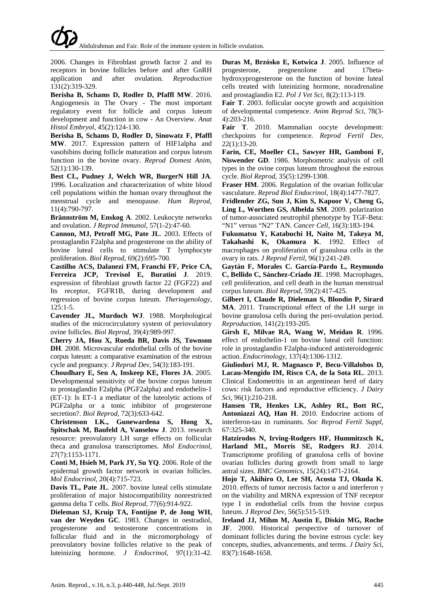2006. Changes in Fibroblast growth factor 2 and its receptors in bovine follicles before and after GnRH<br>application and after ovulation. Reproduction application and 131(2):319-329.

**Berisha B, Schams D, Rodler D, Pfaffl MW**. 2016. Angiogenesis in The Ovary - The most important regulatory event for follicle and corpus luteum development and function in cow - An Overview. *Anat Histol Embryol*, 45(2):124-130.

**Berisha B, Schams D, Rodler D, Sinowatz F, Pfaffl MW**. 2017. Expression pattern of HIF1alpha and vasohibins during follicle maturation and corpus luteum function in the bovine ovary. *Reprod Domest Anim*, 52(1):130-139.

**Best CL, Pudney J, Welch WR, BurgerN Hill JA**. 1996. Localization and characterization of white blood cell populations within the human ovary throughout the menstrual cycle and menopause. *Hum Reprod*, 11(4):790-797.

**Brännström M, Enskog A**. 2002. Leukocyte networks and ovulation. *J Reprod Immunol*, 57(1-2):47-60.

**Cannon, MJ, Petroff MG, Pate JL**. 2003. Effects of prostaglandin F2alpha and progesterone on the ability of bovine luteal cells to stimulate T lymphocyte proliferation. *Biol Reprod*, 69(2):695-700.

**Castilho ACS, Dalanezi FM, Franchi FF, Price CA, Ferreira JCP, Trevisol E, Buratini J**. 2019. expression of fibroblast growth factor 22 (FGF22) and Its receptor, FGFR1B, during development and regression of bovine corpus luteum. *Theriogenology*, 125:1-5.

**Cavender JL, Murdoch WJ**. 1988. Morphological studies of the microcirculatory system of periovulatory ovine follicles. *Biol Reprod*, 39(4):989-997.

**Cherry JA, Hou X, Rueda BR, Davis JS, Townson DH**. 2008. Microvascular endothelial cells of the bovine corpus luteum: a comparative examination of the estrous cycle and pregnancy. *J Reprod Dev*, 54(3):183-191.

**Choudhary E, Sen A, Inskeep KE, Flores JA**. 2005. Developmental sensitivity of the bovine corpus luteum to prostaglandin F2alpha (PGF2alpha) and endothelin-1 (ET-1): Is ET-1 a mediator of the luteolytic actions of PGF2alpha or a tonic inhibitor of progesterone secretion?. *Biol Reprod*, 72(3):633-642.

**Christenson LK., Gunewardena S, Hong X, Spitschak M, Baufeld A, Vanselow J**. 2013. research resource: preovulatory LH surge effects on follicular theca and granulosa transcriptomes. *Mol Endocrinol*, 27(7):1153-1171.

**Conti M, Hsieh M, Park JY, Su YQ**. 2006. Role of the epidermal growth factor network in ovarian follicles. *Mol Endocrinol*, 20(4):715-723.

**Davis TL, Pate JL**. 2007. bovine luteal cells stimulate proliferation of major histocompatibility nonrestricted gamma delta T cells. *Biol Reprod*, 77(6):914-922.

**Dieleman SJ, Kruip TA, Fontijne P, de Jong WH, van der Weyden GC**. 1983. Changes in oestradiol, progesterone and testosterone concentrations in follicular fluid and in the micromorphology of preovulatory bovine follicles relative to the peak of luteinizing hormone. *J Endocrinol*, 97(1):31-42.

**Duras M, Brzósko E, Kotwica J. 2005.** Influence of progesterone, pregnenolone and 17betapregnenolone and 17betahydroxyprogesterone on the function of bovine luteal cells treated with luteinizing hormone, noradrenaline and prostaglandin E2. *Pol J Vet Sci*, 8(2):113-119.

**Fair T**. 2003. follicular oocyte growth and acquisition of developmental competence. *Anim Reprod Sci*, 78(3- 4):203-216.

**Fair T**. 2010. Mammalian oocyte development: checkpoints for competence. *Reprod Fertil Dev*, 22(1):13-20.

**Farin, CE, Moeller CL, Sawyer HR, Gamboni F, Niswender GD**. 1986. Morphometric analysis of cell types in the ovine corpus luteum throughout the estrous cycle. *Biol Reprod*, 35(5):1299-1308.

**Fraser HM**. 2006. Regulation of the ovarian follicular vasculature. *Reprod Biol Endocrinol*, 18(4):1477-7827.

**Fridlender ZG, Sun J, Kim S, Kapoor V, Cheng G, Ling L, Worthen GS, Albelda SM**. 2009. polarization of tumor-associated neutrophil phenotype by TGF-Beta: "N1" versus "N2" TAN. *Cancer Cell*, 16(3):183-194.

**Fukumatsu Y, Katabuchi H, Naito M, Takeya M, Takahashi K, Okamura K**. 1992. Effect of macrophages on proliferation of granulosa cells in the ovary in rats. *J Reprod Fertil*, 96(1):241-249.

**Gaytán F, Morales C. García-Pardo L, Reymundo C, Bellido C, Sánchez-Criado JE**. 1998. Macrophages, cell proliferation, and cell death in the human menstrual corpus luteum. *Biol Reprod*, 59(2):417-425.

**Gilbert I, Claude R, Dieleman S, Blondin P, Sirard MA**. 2011. Transcriptional effect of the LH surge in bovine granulosa cells during the peri-ovulation period. *Reproduction*, 141(2):193-205.

**Girsh E, Milvae RA, Wang W, Meidan R**. 1996. effect of endothelin-1 on bovine luteal cell function: role in prostaglandin F2alpha-induced antisteroidogenic action. *Endocrinology*, 137(4):1306-1312.

**Giuliodori MJ, R. Magnasco P, Becu-Villalobos D, Lacau-Mengido IM, Risco CA, de la Sota RL**. 2013. Clinical Endometritis in an argentinean herd of dairy cows: risk factors and reproductive efficiency. *J Dairy Sci*, 96(1):210-218.

**Hansen TR, Henkes LK, Ashley RL, Bott RC, Antoniazzi AQ, Han H**. 2010. Endocrine actions of interferon-tau in ruminants. *Soc Reprod Fertil Suppl*, 67:325-340.

**Hatzirodos N, Irving-Rodgers HF, Hummitzsch K, Harland ML, Morris SE, Rodgers RJ**. 2014. Transcriptome profiling of granulosa cells of bovine ovarian follicles during growth from small to large antral sizes. *BMC Genomics*, 15(24):1471-2164.

**Hojo T, Akihiro O, Lee SH, Acosta TJ, Okuda K**. 2010. effects of tumor necrosis factor  $\alpha$  and interferon  $\gamma$ on the viability and MRNA expression of TNF receptor type I in endothelial cells from the bovine corpus luteum. *J Reprod Dev*, 56(5):515-519.

**Ireland JJ, Mihm M, Austin E, Diskin MG, Roche JF**. 2000. Historical perspective of turnover of dominant follicles during the bovine estrous cycle: key concepts, studies, advancements, and terms. *J Dairy Sc*i, 83(7):1648-1658.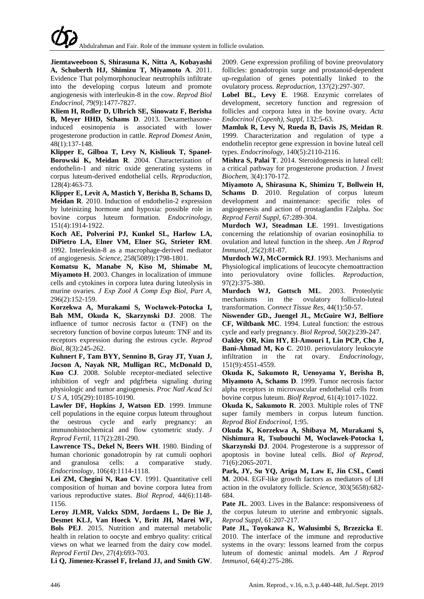**Jiemtaweeboon S, Shirasuna K, Nitta A, Kobayashi A, Schuberth HJ, Shimizu T, Miyamoto A**. 2011. Evidence That polymorphonuclear neutrophils infiltrate into the developing corpus luteum and promote angiogenesis with interleukin-8 in the cow. *Reprod Biol Endocrinol*, *7*9(9):1477-7827.

**Kliem H, Rodler D, Ulbrich SE, Sinowatz F, Berisha B, Meyer HHD, Schams D**. 2013. Dexamethasoneinduced eosinopenia is associated with lower progesterone production in cattle. *Reprod Domest Anim*, 48(1):137-148.

**Klipper E, Gilboa T, Levy N, Kisliouk T, Spanel-Borowski K, Meidan R**. 2004. Characterization of endothelin-1 and nitric oxide generating systems in corpus luteum-derived endothelial cells. *Reproduction*, 128(4):463-73.

**Klipper E, Levit A, Mastich Y, Berisha B, Schams D, Meidan R**. 2010. Induction of endothelin-2 expression by luteinizing hormone and hypoxia: possible role in bovine corpus luteum formation. *Endocrinology*, 151(4):1914-1922.

**Koch AE, Polverini PJ, Kunkel SL, Harlow LA, DiPietro LA, Elner VM, Elner SG, Strieter RM**. 1992. Interleukin-8 as a macrophage-derived mediator of angiogenesis. *Science*, 258(5089):1798-1801.

**Komatsu K, Manabe N, Kiso M, Shimabe M, Miyamoto H**. 2003. Changes in localization of immune cells and cytokines in corpora lutea during luteolysis in murine ovaries. *J Exp Zool A Comp Exp Biol*, *Part A*, 296(2):152-159.

**Korzekwa A, Murakami S, Wocławek-Potocka I, Bah MM, Okuda K, Skarzynski DJ**. 2008. The influence of tumor necrosis factor  $\alpha$  (TNF) on the secretory function of bovine corpus luteum: TNF and its receptors expression during the estrous cycle. *Reprod Biol*, 8(3):245-262.

**Kuhnert F, Tam BYY, Sennino B, Gray JT, Yuan J, Jocson A, Nayak NR, Mulligan RC, McDonald D, Kuo CJ**. 2008. Soluble receptor-mediated selective inhibition of vegfr and pdgfrbeta signaling during physiologic and tumor angiogenesis. *Proc Natl [Acad](https://www.ncbi.nlm.nih.gov/pubmed/?term=Soluble+receptor-mediated+selective+inhibition+of+vegfr+and+pdgfrbeta+signaling+during+physiologic+and+tumor+angiogenesi) Sci U S [A,](https://www.ncbi.nlm.nih.gov/pubmed/?term=Soluble+receptor-mediated+selective+inhibition+of+vegfr+and+pdgfrbeta+signaling+during+physiologic+and+tumor+angiogenesi)* 105(29):10185-10190.

**Lawler DF, Hopkins J, Watson ED**. 1999. Immune cell populations in the equine corpus luteum throughout the oestrous cycle and early pregnancy: an immunohistochemical and flow cytometric study. *J Reprod Fertil*, 117(2):281-290.

**Lawrence TS., Dekel N, Beers WH**. 1980. Binding of human chorionic gonadotropin by rat cumuli oophori and granulosa cells: a comparative study. *Endocrinology*, 106(4):1114-1118.

**Lei ZM, Chegini N, Rao CV**. 1991. Quantitative cell composition of human and bovine corpora lutea from various reproductive states. *Biol Reprod*, 44(6):1148- 1156.

**Leroy JLMR, Valckx SDM, Jordaens L, De Bie J, Desmet KLJ, Van Hoeck V, Britt JH, Marei WF, Bols PEJ**. 2015. Nutrition and maternal metabolic health in relation to oocyte and embryo quality: critical views on what we learned from the dairy cow model. *Reprod Fertil Dev*, 27(4):693-703.

**Li Q, Jimenez-Krassel F, Ireland JJ, and Smith GW**.

2009. Gene expression profiling of bovine preovulatory follicles: gonadotropin surge and prostanoid-dependent up-regulation of genes potentially linked to the ovulatory process. *Reproduction*, 137(2):297-307.

**Lobel BL, Levy E**. 1968. Enzymic correlates of development, secretory function and regression of follicles and corpora lutea in the bovine ovary. *Acta Endocrinol (Copenh), Suppl*, 132:5-63.

**Mamluk R, Levy N, Rueda B, Davis JS, Meidan R**. 1999. Characterization and regulation of type a endothelin receptor gene expression in bovine luteal cell types. *Endocrinology*, 140(5):2110-2116.

**Mishra S, Palai T**. 2014. Steroidogenesis in luteal cell: a critical pathway for progesterone production. *J Invest Biochem*, 3(4):170-172.

**Miyamoto A, Shirasuna K, Shimizu T, Bollwein H, Schams D**. 2010. Regulation of corpus luteum development and maintenance: specific roles of angiogenesis and action of prostaglandin F2alpha. *Soc Reprod Fertil Suppl*, 67:289-304.

**Murdoch WJ, Steadman LE**. 1991. Investigations concerning the relationship of ovarian eosinophilia to ovulation and luteal function in the sheep. *Am J Reprod Immunol*, 25(2):81-87.

**Murdoch WJ, McCormick RJ**. 1993. Mechanisms and Physiological implications of leucocyte chemoattraction into periovulatory ovine follicles. *Reproduction*, 97(2):375-380.

**Murdoch WJ, Gottsch ML**. 2003. Proteolytic mechanisms in the ovulatory folliculo-luteal transformation. *Connect Tissue Res*, 44(1):50-57.

**Niswender GD., Juengel JL, McGuire WJ, Belfiore CF, Wiltbank MC**. 1994. Luteal function: the estrous cycle and early pregnancy. *Biol Reprod*, 50(2):239-247.

**Oakley OR, Kim HY, El-Amouri I, Lin PCP, Cho J, Bani-Ahmad M, Ko C**. 2010. periovulatory leukocyte infiltration in the rat ovary. *Endocrinology*, 151(9):4551-4559.

**Okuda K, Sakumoto R, Uenoyama Y, Berisha B, Miyamoto A, Schams D**. 1999. Tumor necrosis factor alpha receptors in microvascular endothelial cells from bovine corpus luteum. *Biolf Reprod*, 61(4):1017-1022.

**Okuda K, Sakumoto R**. 2003. Multiple roles of TNF super family members in corpus luteum function. *Reprod Biol Endocrinol*, 1:95.

**Okuda K, Korzekwa A, Shibaya M, Murakami S, Nishimura R, Tsubouchi M, Woclawek-Potocka I, Skarzynski DJ**. 2004. Progesterone is a suppressor of apoptosis in bovine luteal cells. *Biol of Reprod*, 71(6):2065-2071.

**Park, JY, Su YQ, Ariga M, Law E, Jin CSL, Conti M**. 2004. EGF-like growth factors as mediators of LH action in the ovulatory follicle. *Science*, 303(5658):682- 684.

**Pate JL**. 2003. Lives in the Balance: responsiveness of the corpus luteum to uterine and embryonic signals. *Reprod Suppl*, 61:207-217.

**Pate JL, Toyokawa K, Walusimbi S, Brzezicka E**. 2010. The interface of the immune and reproductive systems in the ovary: lessons learned from the corpus luteum of domestic animal models. *Am J Reprod Immunol*, 64(4):275-286.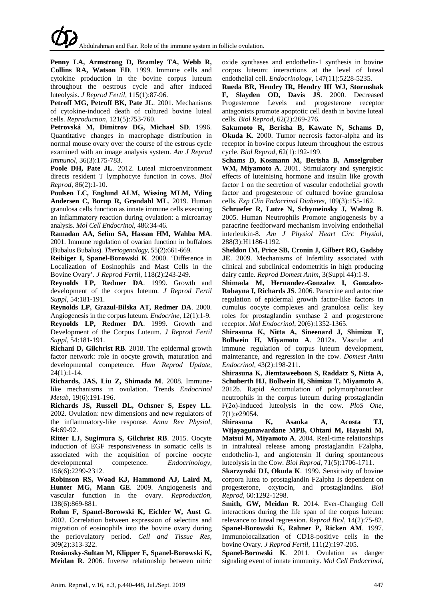**Penny LA, Armstrong D, Bramley TA, Webb R, Collins RA, Watson ED**. 1999. Immune cells and cytokine production in the bovine corpus luteum throughout the oestrous cycle and after induced luteolysis. *J Reprod Fertil*, 115(1):87-96.

**Petroff MG, Petroff BK, Pate JL**. 2001. Mechanisms of cytokine-induced death of cultured bovine luteal cells. *Reproduction*, 121(5):753-760.

**Petrovská M, Dimitrov DG, Michael SD**. 1996. Quantitative changes in macrophage distribution in normal mouse ovary over the course of the estrous cycle examined with an image analysis system. *Am J Reprod Immunol*, 36(3):175-783.

**Poole DH, Pate JL**. 2012. Luteal microenvironment directs resident T lymphocyte function in cows. *Biol Reprod*, 86(2):1-10.

**Poulsen LC, Englund ALM, Wissing MLM, Yding Andersen C, Borup R, Grøndahl ML**. 2019. Human granulosa cells function as innate immune cells executing an inflammatory reaction during ovulation: a microarray analysis. *Mol Cell Endocrinol*, 486:34-46.

**Ramadan AA, Selim SA, Hassan HM, Wahba MA**. 2001. Immune regulation of ovarian function in buffaloes (Bubalus Bubalus). *Theriogenology*, 55(2):661-669.

**Reibiger I, Spanel-Borowski K**. 2000. 'Difference in Localization of Eosinophils and Mast Cells in the Bovine Ovary'. *J Reprod Fertil*, 118(2):243-249.

**Reynolds LP, Redmer DA**. 1999. Growth and development of the corpus luteum. *J Reprod Fertil Suppl,* 54:181-191.

**Reynolds LP, Grazul-Bilska AT, Redmer DA**. 2000. Angiogenesis in the corpus luteum. *Endocrine*, 12(1):1-9. **Reynolds LP, Redmer DA**. 1999. Growth and Development of the Corpus Luteum. *J Reprod Fertil Suppl*, 54:181-191.

**Richani D, Gilchrist RB**. 2018. The epidermal growth factor network: role in oocyte growth, maturation and developmental competence. *Hum Reprod Update*, 24(1):1-14.

**Richards, JAS, Liu Z, Shimada M**. 2008. Immunelike mechanisms in ovulation. Trends *Endocrinol Metab*, 19(6):191-196.

**Richards JS, Russell DL, Ochsner S, Espey LL**. 2002. Ovulation: new dimensions and new regulators of the inflammatory-like response. *Annu Rev Physiol*, 64:69-92.

**Ritter LJ, Sugimura S, Gilchrist RB**. 2015. Oocyte induction of EGF responsiveness in somatic cells is associated with the acquisition of porcine oocyte developmental competence. *Endocrinology*, 156(6):2299-2312.

**Robinson RS, Woad KJ, Hammond AJ, Laird M, Hunter MG, Mann GE**. 2009. Angiogenesis and vascular function in the ovary. *Reproduction*, 138(6):869-881.

**Rohm F, Spanel-Borowski K, Eichler W, Aust G**. 2002. Correlation between expression of selectins and migration of eosinophils into the bovine ovary during the periovulatory period. *Cell and Tissue Res*, 309(2):313-322.

**Rosiansky-Sultan M, Klipper E, Spanel-Borowski K, Meidan R**. 2006. Inverse relationship between nitric oxide synthases and endothelin-1 synthesis in bovine corpus luteum: interactions at the level of luteal endothelial cell. *Endocrinology*, 147(11):5228-5235.

**Rueda BR, Hendry IR, Hendry III WJ, Stormshak F, Slayden OD, Davis JS**. 2000. Decreased Progesterone Levels and progesterone receptor antagonists promote apoptotic cell death in bovine luteal cells. *Biol Reprod*, 62(2):269-276.

**Sakumoto R, Berisha B, Kawate N, Schams D, Okuda K**. 2000. Tumor necrosis factor-alpha and its receptor in bovine corpus luteum throughout the estrous cycle. *Biol Reprod*, 62(1):192-199.

**Schams D, Kosmann M, Berisha B, Amselgruber WM, Miyamoto A**. 2001. Stimulatory and synergistic effects of luteinising hormone and insulin like growth factor 1 on the secretion of vascular endothelial growth factor and progesterone of cultured bovine granulosa cells. *Exp Clin Endocrinol Diabetes*, 109(3):155-162.

**Schruefer R, Lutze N, Schymeinsky J, Walzog B**. 2005. Human Neutrophils Promote angiogenesis by a paracrine feedforward mechanism involving endothelial interleukin-8. *Am J Physiol Heart Circ Physiol*, 288(3):H1186-1192.

**Sheldon IM, Price SB, Cronin J, Gilbert RO, Gadsby JE**. 2009. Mechanisms of Infertility associated with clinical and subclinical endometritis in high producing dairy cattle. *Reprod Domest Anim*, 3(Suppl 44):1-9.

**Shimada M, Hernandez-Gonzalez I, Gonzalez-Robayna I, Richards JS**. 2006. Paracrine and autocrine regulation of epidermal growth factor-like factors in cumulus oocyte complexes and granulosa cells: key roles for prostaglandin synthase 2 and progesterone receptor. *Mol Endocrinol*, 20(6):1352-1365.

**Shirasuna K, Nitta A, Sineenard J, Shimizu T, Bollwein H, Miyamoto A**. 2012a. Vascular and immune regulation of corpus luteum development, maintenance, and regression in the cow. *Domest Anim Endocrinol*, 43(2):198-211.

**Shirasuna K, Jiemtaweeboon S, Raddatz S, Nitta A, Schuberth HJ, Bollwein H, Shimizu T, Miyamoto A**. 2012b. Rapid Accumulation of polymorphonuclear neutrophils in the corpus luteum during prostaglandin F(2α)-induced luteolysis in the cow. *PloS One*, 7(1):e29054.

**Shirasuna K, Asaoka A, Acosta TJ, Wijayagunawardane MPB, Ohtani M, Hayashi M, Matsui M, Miyamoto A**. 2004. Real-time relationships in intraluteal release among prostaglandin F2alpha, endothelin-1, and angiotensin II during spontaneous luteolysis in the Cow. *Biol Reprod*, 71(5):1706-1711.

**Skarzynski DJ, Okuda K**. 1999. Sensitivity of bovine corpora lutea to prostaglandin F2alpha Is dependent on progesterone, oxytocin, and prostaglandins. *Biol Reprod*, 60:1292-1298.

**Smith, GW, Meidan R**. 2014. Ever-Changing Cell interactions during the life span of the corpus luteum: relevance to luteal regression. *Reprod Biol*, 14(2):75-82.

**Spanel-Borowski K, Rahner P, Ricken AM**. 1997. Immunolocalization of CD18-positive cells in the bovine Ovary. *J Reprod Fertil*, 111(2):197-205.

**Spanel-Borowski K**. 2011. Ovulation as danger signaling event of innate immunity. *Mol Cell Endocrinol*,